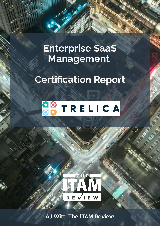# Enterprise SaaS Management

# **Certification Report**





AJ Witt, The ITAM Review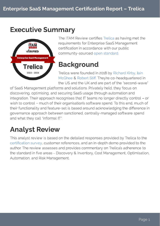## Executive Summary



TheITAM Review certifical continuity met the certification in accordance with our public certification in accor[dance with our](https://www.itassetmanagement.net/marketplace/certifications/saas-management-tool-certification-standard-v2/) public community-sourced . open standard

## Background

MeChae & Debert Stiff They're as beedsustared & . They're co-headquartered in McGhee Robert Sti

of SaaS Management platforms and solutions. Privately held, they focus on discovering, optimising, and securing SaaS usage through automation and integration. Their approach recognises that  $\Pi$  teams no longer directly control – or wish to control – much of their organisation's software spend. To this end, much of their functionality and feature-set is based around acknowledging the difference in their functionality and feature-set is based around acknowledging the dierence in governance approach sanctioned, central lines. Centrally-managed some in superman and what they call "informal IT".

# Analyst Review

[This analyst review](https://www.itassetmanagement.net/wp-content/uploads/2022/03/Trelica-SaaS-Management-Certification-Survey-2022.pdf) is based on the detailed responses provided by Trelica to the<br>certification survey, customer references, and an in-depth demo provided to the outhor The review accesses and provides commentary on Trelies's adherence to the standard in five areas - Discovery & Inventory, Cost Management, Optimisation, the standard in ve areas - Discovery & Inventory, Cost Management, Optimisation, Automation, and Risk Management.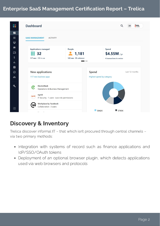#### Enterprise SaaS Management Certification Report - Trelica



### Discovery & Inventory

Trelica discover informal IT – that which isn't procured through central channels – via two primary methods:

- Integration with systems of record such as finance applications and IdP/SSO/OAuth tokens
- Deployment of an optional browser plugin, which detects applications used via web browsers and protocols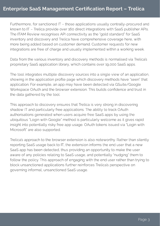Furthermore, for sanctioned IT – those applications usually centrally-procured and<br>known to IT – Trelica provide over 160 direct integrations with SaaS publisher APIs. The ITAM Review recognises API connectivity as the "gold standard" for SaaS inventory and discovery and Trelica have comprehensive coverage here, with more being added based on customer demand. Customer requests for new more being added based on customer demand. Customer requests for new integrations are free of charge and usually implemented within a working week.

Data from the various inventory and discovery methods is normalised via Trelica's proprietary SaaS application library, which contains over 19,000 SaaS apps.

The tool integrates multiple discovery sources into a single view of an application, showing in the application profile page which discovery methods have "seen" that application. For example, an app may have been detected via GSuite/Google Workspace OAuth and the browser extension. This builds confidence and trust in Workspace Or that the browser extension who to have connected and trust in the builds condence and trust in the builds condence and trust in the build section. the data gathered by the tool.

This approach to discovery ensures that Trelica is very strong in discovering<br>shadow IT and particularly free applications. The ability to track OAuth authorisations generated when users acquire free SaaS apps by using the ubiquitous "Login with Google" method is particularly welcome as it gives rapid insight into potentially risky free app usage. OAuth tokens issued via "Login with insight into potentially risky free app usage. OAuth tokens issued via "Login with Microsoft" are also supported.

Trelica's approach to the browser extension is also noteworthy. Rather than silently SaaS app has been detected, thus providing an opportunity to make the user aware of any policies relating to SaaS usage, and potentially "nudging" them to follow the policy. This approach of engaging with the end user rather than trying to block unsanctioned applications further reinforces Trelica's perspective on block unsanctioned applications further reinforces Trelica's perspective on governing informal, unsanctioned SaaS usage.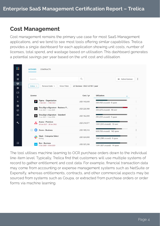#### Cost Management

Cost management remains the primary use case for most SaaS Management applications, and we tend to see most tools offering similar capabilities. Trelica provides a single dashboard for each application showing unit costs, number of licenses, total spend, and wastage based on utilisation. This dashboard generates a potential savings per year based on the unit cost and utilisation.

| <b>LICENSES</b> | <b>CONTRACTS</b>                                            |                                |                              |                   |  |
|-----------------|-------------------------------------------------------------|--------------------------------|------------------------------|-------------------|--|
| Search          |                                                             | $\alpha$                       |                              | ≡ Active licenses |  |
| Status $\vee$   | Renewal date v<br>More filters                              | 23 licenses · USD 5.01M / year |                              |                   |  |
| License         |                                                             | Cost / yr                      | <b>Utilization</b>           |                   |  |
| ge.             | Figma - Organization<br>1 Feb 2021 - 1 Feb 2022             | USD 143,640                    | 260 (162 unused) · 6 spare   |                   |  |
| $\boxed{D}$     | DocuSign eSignature - Business P<br>5 Jan 2021 - 5 Jan 2024 | USD 226,980                    | 340 (273 unused) - 49 over   |                   |  |
| D               | DocuSign eSignature - Standard<br>5 Jan 2021 - 5 Jan 2024   | USD 162,000                    | 295 (231 unused) - 5 spare   |                   |  |
| 60              | Asana - Premium<br>28 Jan 2021 - 28 Jan 2022                | USD 214,977                    | 1341 (310 unused) · 13 over  |                   |  |
| $[+]$           | Zoom - Business                                             | USD 189,516                    | 658 (156 unused) · 142 spare |                   |  |
| -9.<br>72       | Slack - Enterprise Select<br>Rolling                        | USD 324,000                    | 1341 (298 unused) · 9 spare  |                   |  |
| box             | <b>Box - Business</b><br>5 Oct 2020 - 5 Oct 2021            | USD 325,200                    | 1341 (307 unused) · 14 spare |                   |  |

The tool utilises machine learning to OCR purchase orders down to the individual line-item level. Typically, Trelica find that customers will use multiple systems of record to gather entitlement and cost data. For example, financial transaction data may come from accounting or expense management systems such as NetSuite or Expensify, whereas entitlements, contracts, and other commercial aspects may be sourced from systems such as Coupa, or extracted from purchase orders or order forms via machine learning.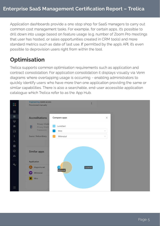Application dashboards provide a one stop shop for SaaS managers to carry out common cost management tasks. For example, for certain apps, it's possible to drill down into usage based on feature usage (e.g. number of Zoom Pro meetings that user has hosted, or sales opportunities created in CRM tools) and more standard metrics such as date of last use. If permitted by the app's API, it's even standard metrics such as date of last use the components and joint upper any its event. possible to deprovision users right from within the tool.

## **Optimisation**

Trelica supports common optimisation requirements such as application and diagrams where overlapping usage is occurring - enabling administrators to quickly identify users who have more than one application providing the same or similar capabilities. There is also a searchable, end-user accessible application similar capabilities. There is also a searchable, end-user accessible application catalogue which Trelica refer to as the App Hub.

| $\frac{1}{60}$                                  | <b>Engineering needs access</b><br>B<br>Provisioned manually |  |
|-------------------------------------------------|--------------------------------------------------------------|--|
| 腊                                               |                                                              |  |
| 88                                              | $\times$<br><b>Accreditations</b><br>Compare apps            |  |
| $\rightleftharpoons$                            | <b>Privacy Shield</b>                                        |  |
| 唇                                               | Lucidchart<br>E<br>Privacy Shield                            |  |
| $\Box$                                          | Framework<br>Miro<br>V                                       |  |
| \$                                              | Source: Trelica library<br>Whimsical<br>$\bigvee$            |  |
| d.                                              |                                                              |  |
| 自                                               |                                                              |  |
| $\odot$                                         | <b>Similar apps</b>                                          |  |
| $\mathop{\mathrm{min}}\limits_{m\in\mathbb{N}}$ |                                                              |  |
| $\partial_{\mathbf{q},\mathbf{r}}$              | Application                                                  |  |
|                                                 | $\overline{a}$<br>diagrams.net<br>Lucidchart<br>Whimsical    |  |
|                                                 | Whimsical<br>◈                                               |  |
|                                                 | Miro<br>$\mathbf m$                                          |  |
|                                                 |                                                              |  |
| $\equiv$                                        |                                                              |  |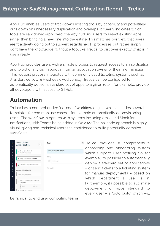App Hub enables users to track down existing tools by capability and potentially cuts down on unnecessary duplication and overlaps. It clearly indicates which tools are sanctioned/approved, thereby nudging users to select existing apps. rather than bringing a new one into the estate. This matches our view that users aren't actively going out to subvert established IT processes but rather simply are the training going out to subvert established in processes but rather simply don't have the knowledge, without a tool like Trelica, to discover exactly what is in use already.

App Hub provides users with a simple process to request access to an application<br>and to optionally gain approval from an application owner or their line manager. This request process integrates with commonly used ticketing systems such as Jira, ServiceNow & Freshdesk. Additionally, Trelica can be configured to automatically deliver a standard set of apps to a given role - for example, provide all developers with access to GitHub. all developers with access to GitHub.

### Automation

Trelica has a comprehensive "no-code" workflow engine which includes several<br>templates for common use cases - for example automatically deprovisioning users. The workflow integrates with systems including email and Slack for notifications, with Teams being added in Q2 2022. The no-code approach is highly visual, giving non-technical users the confidence to build potentially complex visual, giving non-technical users the condence to build potentially complex

| Workflows > New starter<br>$\ddagger$<br><b>Aaron Hamilton</b>          | Delay                              | $\boldsymbol{<}$ |
|-------------------------------------------------------------------------|------------------------------------|------------------|
| Person Status is "New"<br>$\frac{1}{2}$<br>Renige 13/01/2022, 10:42:26. | Waited until 13 Jan 2022, 10:42:36 |                  |
| 8<br>7 days prior to Person start date                                  | Activity<br>IM<br>Add Invitage     | ŵ                |
| Provision Google Workspace user<br>G                                    |                                    |                  |
| Start provisioning checklist                                            | Step details                       | s                |
| No actions were created                                                 |                                    |                  |
| Wait for provisioning checklist to be<br>$\mathcal{T}_c$<br>completed   |                                    |                  |
| Then (0)<br>Timeput (0)                                                 |                                    |                  |
| To Person's line manager                                                |                                    |                  |

be familiar to end user computing teams.

Trelica provides a comprehensive<br>onboarding and offboarding system which supports user profiling. So, for example, it's possible to automatically deploy a standard set of applications - or send tickets to a ticketing system for manual deployments - based on which department a user is in. Furthermore, it's possible to automate. deployment of apps standard to deployment of apps standard to every user – a "gold build" which will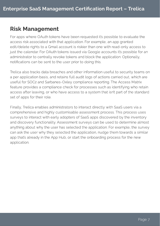#### Risk Management

For apps where OAuth tokens have been requested it's possible to evaluate the access risk associated with that application. For example, an app granted edit/delete rights to a Gmail account is riskier than one with read-only access to just the calendar. For OAuth tokens issued via Google accounts it's possible for an administrator to centrally revoke tokens and block the application. Optionally, administrator to centrally revolutions and block to the application. Operating, notications can be sent to the user prior to doing this.

Trelica also tracks data breaches and other information useful to security teams on useful for SOC2 and Sarbanes-Oxley compliance reporting. The Access Matrix feature provides a compliance check for processes such as identifying who retain access after leaving, or who have access to a system that isn't part of the standard access after deaving, or who have access to a system that isn't part of the standard set of apps for their role.

Finally, Trelica enables administrators to interact directly with SaaS users via a surveys to interact with early adopters of SaaS apps discovered by the inventory and discovery functionality. Assessment surveys can be used to determine almost anything about why the user has selected the application. For example, the survey can ask the user why they selected the application, nudge them towards a similar can there were why they selected the uppercuring them towards a similar app that's already in the App Hub, or start the onboarding process for the new the new application.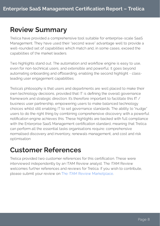## Review Summary

Trelica have provided a comprehensive tool suitable for enterprise-scale SaaS well-rounded set of capabilities which match and, in some cases, exceed the we consider set of capabilities which match match and, in some cases, except and capabilities of the market leaders.

Two highlights stand out. The automation and workflow engine is easy to use, even for non-technical users, and extensible and powerful. It goes beyond automating onboarding and offboarding, enabling the second highlight - classand only constantly and observed anglic the second highlight - classleading user engagement capabilities.

Trelica's philosophy is that users and departments are well placed to make their framework and strategic direction. It's therefore important to facilitate this IT  $\angle$ business user partnership, empowering users to make balanced technology choices whilst still enabling IT to set governance standards. The ability to "nudge" users to do the right thing by combining comprehensive discovery with a powerful notification engine achieves this. These highlights are backed with full compliance with the Enterprise SaaS Management certification standard, meaning that Trelica can perform all the essential tasks organisations require: comprehensive normalised discovery and inventory, renewals management, and cost and risk normalised discovery and inventory, renewals management, and cost and risk optimisation

# Customer References

Trelica provided two customer references for this certification. These were interviewed independently by an ITAM Review analyst. The ITAM Review welcomes further references and reviews for Trelica. If you wish to contribute, welcomes further references and references and reviews  $f$  is a metal to contribute. please submit your review on . The ITAM Review Marketplace  $\mathbb{R}$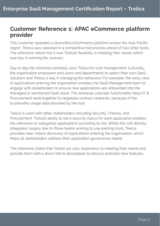#### Customer Reference 1: APAC eCommerce platform provider

This customer operates a diversified eCommerce platform across the Asia-Pacific region. Trelica was selected in a competitive bid process ahead of two other tools. The reference noted that it was Trelica's flexibility in meeting their needs which was key in winning the contract.

Day to day the reference primarily uses Trelica for cost management. Culturally, the organisation empowers end users and departments to select their own SaaS solutions and Trelica is key in managing this behaviour. For example, the early view of applications entering the organisation enables the SaaS Management team to engage with stakeholders to ensure new applications are onboarded into the managed or sanctioned SaaS stack. The renewals calendar functionality helps IT & Procurement work together to negotiate contract renewals, because of the trustworthy usage data provided by the tool.

Trelica is used with other stakeholders including Security, Finance, and Procurement. Trelica's ability to set a security status for each application enables the reference to categorise applications according to risk. Whilst this isn't directly integrated, largely due to those teams wishing to use existing tools, Trelica provides near-instant discovery of applications entering the organisation, which helps all stakeholders address their application governance needs.

The reference states that Trelica are very responsive to meeting their needs and provide them with a direct link to developers to discuss potential new features.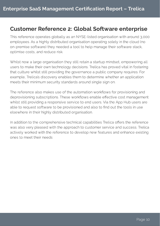#### Customer Reference 2: Global Software enterprise

This reference operates globally as an NYSE-listed organisation with around 3,000 employees. As a highly distributed organisation operating solely in the cloud (no on-premise software) they needed a tool to help manage their software stack, optimise costs, and reduce risk. optimise costs, and reduce risk.

Whilst now a large organisation they still retain a startup mindset, empowering all users to make their own technology decisions. Trelica has proved vital in fostering that culture whilst still providing the governance a public company requires. For example, Trelica's discovery enables them to determine whether an application example, Trelica's discovery enables them to determine whether an application meets their minimum security standards around single sign on.

The reference also makes use of the automation workflows for provisioning and<br>deprovisioning subscriptions. These workflows enable effective cost management whilst still providing a responsive service to end users. Via the App Hub users are able to request software to be provisioned and also to find out the tools in use able to request some to be provisioned and also to meet the top the top the to elsewhere in their highly distributed organisation.

In addition to the comprehensive technical capabilities Trelica offers the reference<br>was also very pleased with the approach to customer service and success. Trelica actively worked with the reference to develop new features and enhance existing. ones to meet their needs